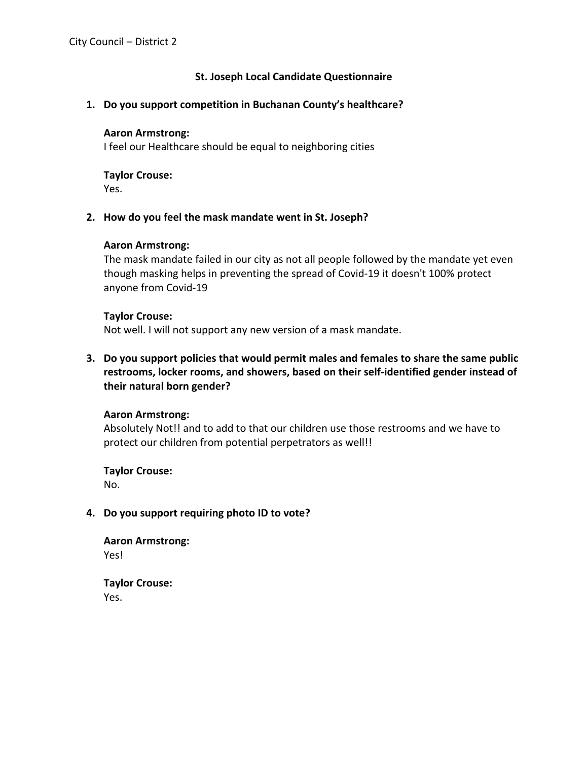# **St. Joseph Local Candidate Questionnaire**

### **1. Do you support competition in Buchanan County's healthcare?**

#### **Aaron Armstrong:**

I feel our Healthcare should be equal to neighboring cities

# **Taylor Crouse:**

Yes.

## **2. How do you feel the mask mandate went in St. Joseph?**

## **Aaron Armstrong:**

The mask mandate failed in our city as not all people followed by the mandate yet even though masking helps in preventing the spread of Covid-19 it doesn't 100% protect anyone from Covid-19

### **Taylor Crouse:**

Not well. I will not support any new version of a mask mandate.

**3. Do you support policies that would permit males and females to share the same public restrooms, locker rooms, and showers, based on their self-identified gender instead of their natural born gender?**

### **Aaron Armstrong:**

Absolutely Not!! and to add to that our children use those restrooms and we have to protect our children from potential perpetrators as well!!

**Taylor Crouse:** No.

### **4. Do you support requiring photo ID to vote?**

**Aaron Armstrong:** Yes!

**Taylor Crouse:** Yes.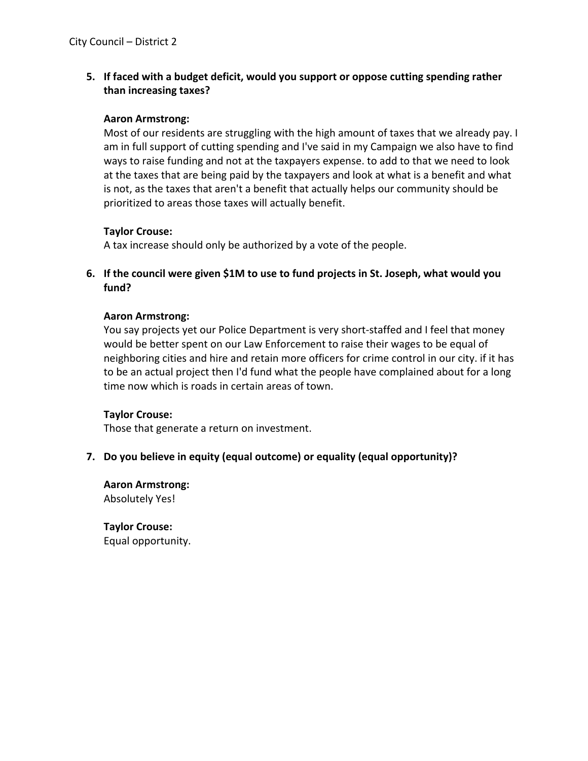**5. If faced with a budget deficit, would you support or oppose cutting spending rather than increasing taxes?**

### **Aaron Armstrong:**

Most of our residents are struggling with the high amount of taxes that we already pay. I am in full support of cutting spending and I've said in my Campaign we also have to find ways to raise funding and not at the taxpayers expense. to add to that we need to look at the taxes that are being paid by the taxpayers and look at what is a benefit and what is not, as the taxes that aren't a benefit that actually helps our community should be prioritized to areas those taxes will actually benefit.

### **Taylor Crouse:**

A tax increase should only be authorized by a vote of the people.

**6. If the council were given \$1M to use to fund projects in St. Joseph, what would you fund?**

#### **Aaron Armstrong:**

You say projects yet our Police Department is very short-staffed and I feel that money would be better spent on our Law Enforcement to raise their wages to be equal of neighboring cities and hire and retain more officers for crime control in our city. if it has to be an actual project then I'd fund what the people have complained about for a long time now which is roads in certain areas of town.

### **Taylor Crouse:**

Those that generate a return on investment.

### **7. Do you believe in equity (equal outcome) or equality (equal opportunity)?**

**Aaron Armstrong:** Absolutely Yes!

**Taylor Crouse:** Equal opportunity.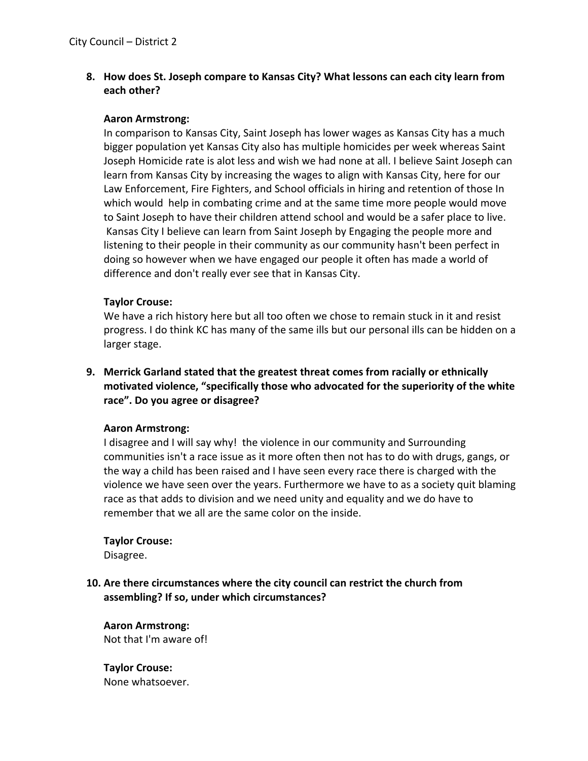**8. How does St. Joseph compare to Kansas City? What lessons can each city learn from each other?**

### **Aaron Armstrong:**

In comparison to Kansas City, Saint Joseph has lower wages as Kansas City has a much bigger population yet Kansas City also has multiple homicides per week whereas Saint Joseph Homicide rate is alot less and wish we had none at all. I believe Saint Joseph can learn from Kansas City by increasing the wages to align with Kansas City, here for our Law Enforcement, Fire Fighters, and School officials in hiring and retention of those In which would help in combating crime and at the same time more people would move to Saint Joseph to have their children attend school and would be a safer place to live. Kansas City I believe can learn from Saint Joseph by Engaging the people more and listening to their people in their community as our community hasn't been perfect in doing so however when we have engaged our people it often has made a world of difference and don't really ever see that in Kansas City.

#### **Taylor Crouse:**

We have a rich history here but all too often we chose to remain stuck in it and resist progress. I do think KC has many of the same ills but our personal ills can be hidden on a larger stage.

**9. Merrick Garland stated that the greatest threat comes from racially or ethnically motivated violence, "specifically those who advocated for the superiority of the white race". Do you agree or disagree?**

#### **Aaron Armstrong:**

I disagree and I will say why! the violence in our community and Surrounding communities isn't a race issue as it more often then not has to do with drugs, gangs, or the way a child has been raised and I have seen every race there is charged with the violence we have seen over the years. Furthermore we have to as a society quit blaming race as that adds to division and we need unity and equality and we do have to remember that we all are the same color on the inside.

### **Taylor Crouse:**

Disagree.

# **10. Are there circumstances where the city council can restrict the church from assembling? If so, under which circumstances?**

**Aaron Armstrong:** Not that I'm aware of!

**Taylor Crouse:** None whatsoever.